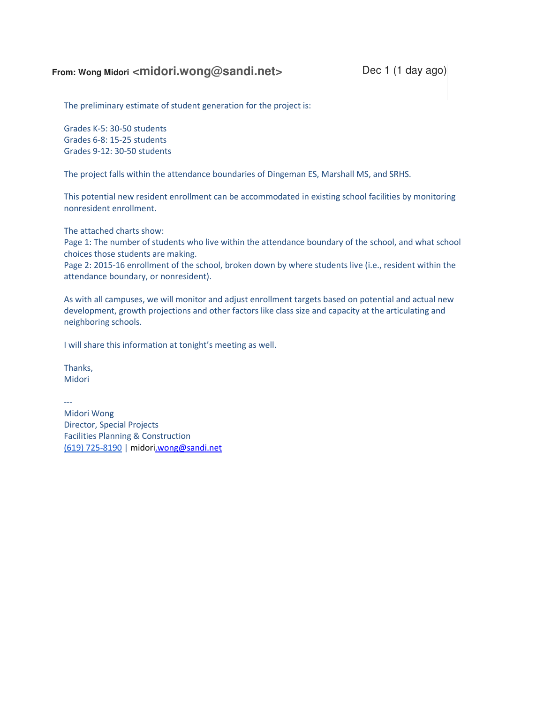# From: Wong Midori <midori.wong@sandi.net>Dec 1 (1 day ago)

The preliminary estimate of student generation for the project is:

Grades K-5: 30-50 students Grades 6-8: 15-25 students Grades 9-12: 30-50 students

The project falls within the attendance boundaries of Dingeman ES, Marshall MS, and SRHS.

This potential new resident enrollment can be accommodated in existing school facilities by monitoring nonresident enrollment.

The attached charts show:

Page 1: The number of students who live within the attendance boundary of the school, and what school choices those students are making.

Page 2: 2015-16 enrollment of the school, broken down by where students live (i.e., resident within the attendance boundary, or nonresident).

As with all campuses, we will monitor and adjust enrollment targets based on potential and actual new development, growth projections and other factors like class size and capacity at the articulating and neighboring schools.

I will share this information at tonight's meeting as well.

Thanks, Midori

--- Midori Wong Director, Special Projects Facilities Planning & Construction (619) 725-8190 | midori.wong@sandi.net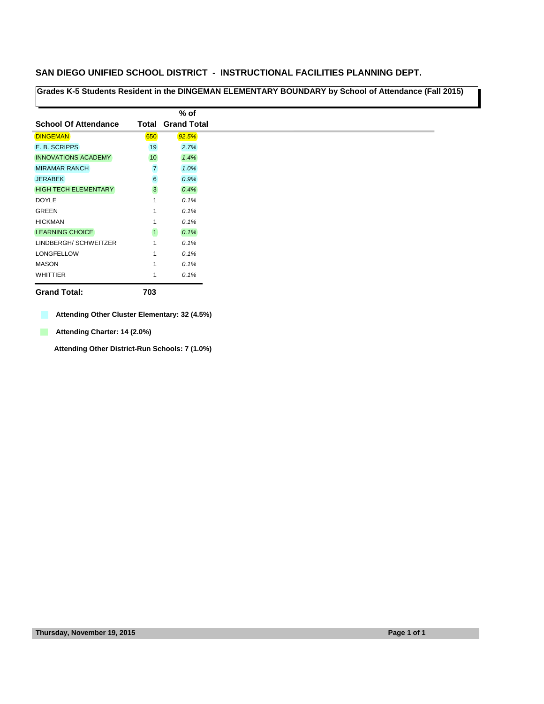**Grades K-5 Students Resident in the DINGEMAN ELEMENTARY BOUNDARY by School of Attendance (Fall 2015)**

|                             |                | % of                     |
|-----------------------------|----------------|--------------------------|
| <b>School Of Attendance</b> |                | <b>Total Grand Total</b> |
| <b>DINGEMAN</b>             | 650            | 92.5%                    |
| E. B. SCRIPPS               | 19             | 2.7%                     |
| <b>INNOVATIONS ACADEMY</b>  | 10             | 1.4%                     |
| <b>MIRAMAR RANCH</b>        | $\overline{7}$ | 1.0%                     |
| <b>JERABEK</b>              | 6              | 0.9%                     |
| <b>HIGH TECH ELEMENTARY</b> | 3              | 0.4%                     |
| <b>DOYLE</b>                | 1              | 0.1%                     |
| GREEN                       | 1              | 0.1%                     |
| <b>HICKMAN</b>              | 1              | 0.1%                     |
| <b>LEARNING CHOICE</b>      | $\mathbf{1}$   | 0.1%                     |
| LINDBERGH/SCHWEITZER        | 1              | 0.1%                     |
| <b>LONGFELLOW</b>           | 1              | 0.1%                     |
| <b>MASON</b>                | 1              | 0.1%                     |
| <b>WHITTIER</b>             | 1              | 0.1%                     |

**Grand Total: 703**

**Attending Other Cluster Elementary: 32 (4.5%)**

**Attending Charter: 14 (2.0%)** 

**Attending Other District-Run Schools: 7 (1.0%)**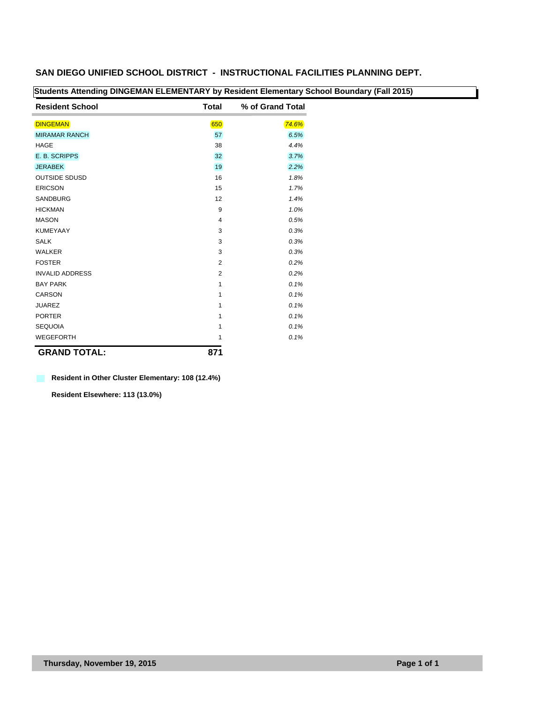| <b>Resident School</b> | <b>Total</b>   | % of Grand Total |
|------------------------|----------------|------------------|
| <b>DINGEMAN</b>        | 650            | 74.6%            |
| <b>MIRAMAR RANCH</b>   | 57             | 6.5%             |
| <b>HAGE</b>            | 38             | 4.4%             |
| E. B. SCRIPPS          | 32             | 3.7%             |
| <b>JERABEK</b>         | 19             | 2.2%             |
| <b>OUTSIDE SDUSD</b>   | 16             | 1.8%             |
| <b>ERICSON</b>         | 15             | 1.7%             |
| <b>SANDBURG</b>        | 12             | 1.4%             |
| <b>HICKMAN</b>         | 9              | 1.0%             |
| <b>MASON</b>           | $\overline{4}$ | 0.5%             |
| <b>KUMEYAAY</b>        | 3              | 0.3%             |
| <b>SALK</b>            | 3              | 0.3%             |
| <b>WALKER</b>          | 3              | 0.3%             |
| <b>FOSTER</b>          | $\overline{2}$ | 0.2%             |
| <b>INVALID ADDRESS</b> | $\overline{2}$ | 0.2%             |
| <b>BAY PARK</b>        | 1              | 0.1%             |
| <b>CARSON</b>          | 1              | 0.1%             |
| <b>JUAREZ</b>          | 1              | 0.1%             |
| <b>PORTER</b>          | 1              | 0.1%             |
| <b>SEQUOIA</b>         | 1              | 0.1%             |
| <b>WEGEFORTH</b>       | 1              | 0.1%             |
| <b>GRAND TOTAL:</b>    | 871            |                  |

# **Students Attending DINGEMAN ELEMENTARY by Resident Elementary School Boundary (Fall 2015)**

#### **Resident in Other Cluster Elementary: 108 (12.4%)**

**Resident Elsewhere: 113 (13.0%)**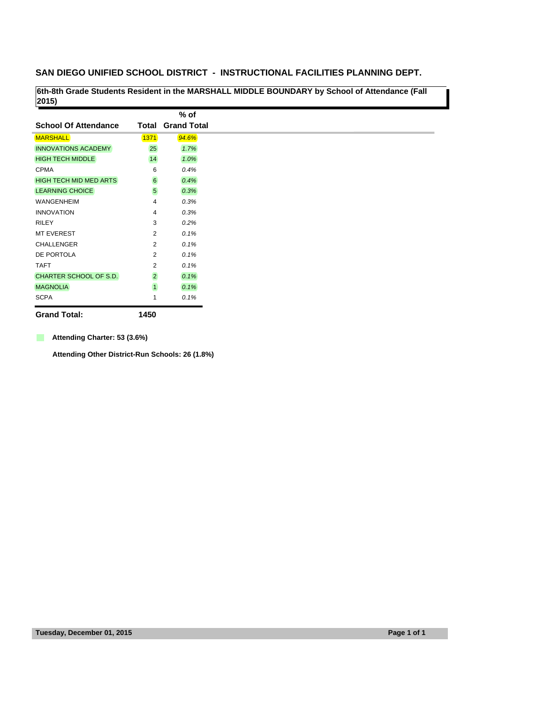**6th-8th Grade Students Resident in the MARSHALL MIDDLE BOUNDARY by School of Attendance (Fall 2015)** 

|                               |                 | $%$ of             |
|-------------------------------|-----------------|--------------------|
| <b>School Of Attendance</b>   | Total           | <b>Grand Total</b> |
| <b>MARSHALL</b>               | <b>1371</b>     | 94.6%              |
| <b>INNOVATIONS ACADEMY</b>    | 25              | 1.7%               |
| <b>HIGH TECH MIDDLE</b>       | 14              | 1.0%               |
| <b>CPMA</b>                   | 6               | 0.4%               |
| <b>HIGH TECH MID MED ARTS</b> | $6\phantom{a}$  | 0.4%               |
| <b>LEARNING CHOICE</b>        | $5\overline{)}$ | 0.3%               |
| <b>WANGENHEIM</b>             | 4               | 0.3%               |
| <b>INNOVATION</b>             | 4               | 0.3%               |
| <b>RILEY</b>                  | 3               | 0.2%               |
| <b>MT EVEREST</b>             | $\overline{2}$  | 0.1%               |
| <b>CHALLENGER</b>             | $\overline{2}$  | 0.1%               |
| DE PORTOLA                    | $\overline{2}$  | 0.1%               |
| <b>TAFT</b>                   | 2               | 0.1%               |
| CHARTER SCHOOL OF S.D.        | $\overline{2}$  | 0.1%               |
| <b>MAGNOLIA</b>               | $\overline{1}$  | 0.1%               |
| <b>SCPA</b>                   | 1               | 0.1%               |

**Grand Total: 1450**

 $\mathbf{r}$ **Attending Charter: 53 (3.6%)**

**Attending Other District-Run Schools: 26 (1.8%)**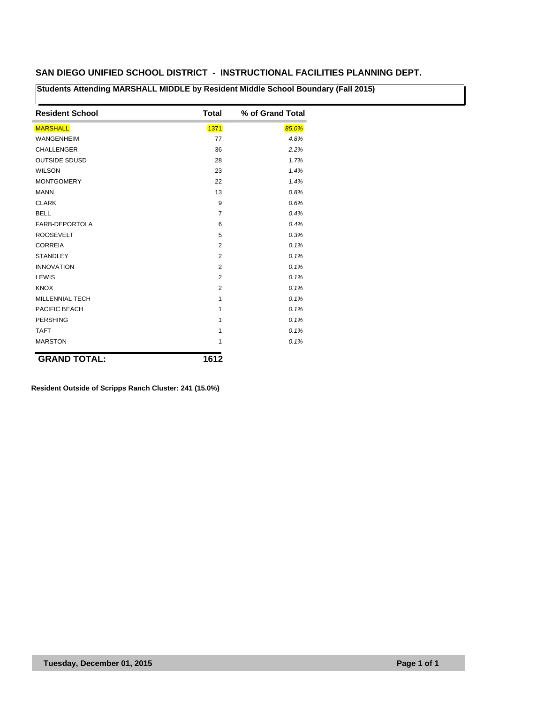**Students Attending MARSHALL MIDDLE by Resident Middle School Boundary (Fall 2015)**

| <b>Resident School</b> | Total          | % of Grand Total |
|------------------------|----------------|------------------|
| <b>MARSHALL</b>        | 1371           | 85.0%            |
| <b>WANGENHEIM</b>      | 77             | 4.8%             |
| <b>CHALLENGER</b>      | 36             | 2.2%             |
| <b>OUTSIDE SDUSD</b>   | 28             | 1.7%             |
| <b>WILSON</b>          | 23             | 1.4%             |
| <b>MONTGOMERY</b>      | 22             | 1.4%             |
| <b>MANN</b>            | 13             | 0.8%             |
| <b>CLARK</b>           | 9              | 0.6%             |
| <b>BELL</b>            | 7              | 0.4%             |
| FARB-DEPORTOLA         | 6              | 0.4%             |
| <b>ROOSEVELT</b>       | 5              | 0.3%             |
| <b>CORREIA</b>         | $\overline{2}$ | 0.1%             |
| <b>STANDLEY</b>        | 2              | 0.1%             |
| <b>INNOVATION</b>      | $\overline{2}$ | 0.1%             |
| LEWIS                  | $\overline{2}$ | 0.1%             |
| <b>KNOX</b>            | $\overline{2}$ | 0.1%             |
| <b>MILLENNIAL TECH</b> | $\mathbf{1}$   | 0.1%             |
| PACIFIC BEACH          | $\mathbf{1}$   | 0.1%             |
| <b>PERSHING</b>        | 1              | 0.1%             |
| <b>TAFT</b>            | 1              | 0.1%             |
| <b>MARSTON</b>         | 1              | 0.1%             |
| <b>GRAND TOTAL:</b>    | 1612           |                  |

**Resident Outside of Scripps Ranch Cluster: 241 (15.0%)**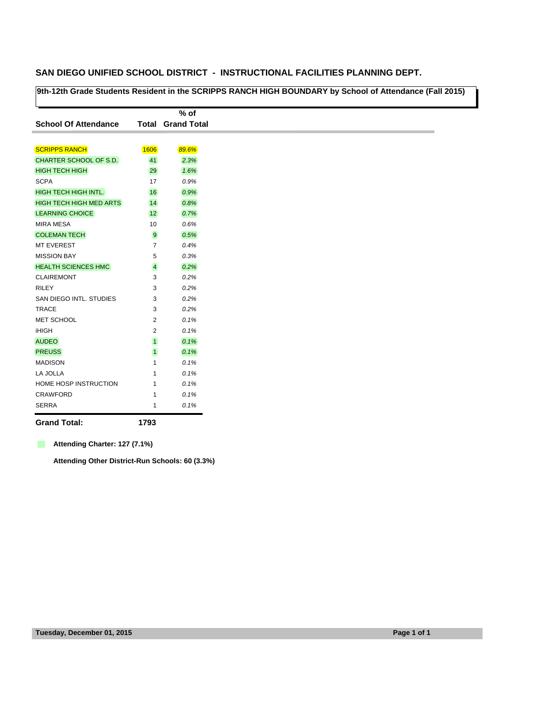**9th-12th Grade Students Resident in the SCRIPPS RANCH HIGH BOUNDARY by School of Attendance (Fall 2015)**

|                                |                | $%$ of                   |
|--------------------------------|----------------|--------------------------|
| <b>School Of Attendance</b>    |                | <b>Total Grand Total</b> |
|                                |                |                          |
| <b>SCRIPPS RANCH</b>           | 1606           | 89.6%                    |
| CHARTER SCHOOL OF S.D.         | 41             | 2.3%                     |
| <b>HIGH TECH HIGH</b>          | 29             | 1.6%                     |
| <b>SCPA</b>                    | 17             | 0.9%                     |
| <b>HIGH TECH HIGH INTL.</b>    | 16             | 0.9%                     |
| <b>HIGH TECH HIGH MED ARTS</b> | 14             | 0.8%                     |
| <b>LEARNING CHOICE</b>         | 12             | 0.7%                     |
| <b>MIRA MESA</b>               | 10             | 0.6%                     |
| <b>COLEMAN TECH</b>            | 9              | 0.5%                     |
| <b>MT EVEREST</b>              | 7              | 0.4%                     |
| <b>MISSION BAY</b>             | 5              | 0.3%                     |
| <b>HEALTH SCIENCES HMC</b>     | $\overline{4}$ | 0.2%                     |
| <b>CLAIREMONT</b>              | 3              | 0.2%                     |
| <b>RILEY</b>                   | 3              | 0.2%                     |
| SAN DIEGO INTL. STUDIES        | 3              | 0.2%                     |
| <b>TRACE</b>                   | 3              | 0.2%                     |
| MET SCHOOL                     | 2              | 0.1%                     |
| <b>iHIGH</b>                   | 2              | 0.1%                     |
| <b>AUDEO</b>                   | $\overline{1}$ | 0.1%                     |
| <b>PREUSS</b>                  | $\overline{1}$ | 0.1%                     |
| <b>MADISON</b>                 | 1              | 0.1%                     |
| LA JOLLA                       | 1              | 0.1%                     |
| HOME HOSP INSTRUCTION          | 1              | 0.1%                     |
| <b>CRAWFORD</b>                | 1              | 0.1%                     |
| <b>SERRA</b>                   | 1              | 0.1%                     |

**Grand Total: 1793**

**Attending Charter: 127 (7.1%)** 

**Attending Other District-Run Schools: 60 (3.3%)**